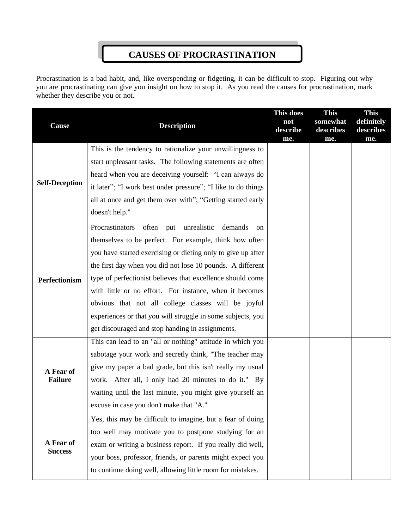## **CAUSES OF PROCRASTINATION**

Procrastination is a bad habit, and, like overspending or fidgeting, it can be difficult to stop. Figuring out why you are procrastinating can give you insight on how to stop it. As you read the causes for procrastination, mark whether they describe you or not.

|                             |                                                               | This does       | <b>This</b>      | <b>This</b>      |
|-----------------------------|---------------------------------------------------------------|-----------------|------------------|------------------|
| <b>Cause</b>                | <b>Description</b>                                            | not             | somewhat         | definitely       |
|                             |                                                               | describe<br>me. | describes<br>me. | describes<br>me. |
| <b>Self-Deception</b>       | This is the tendency to rationalize your unwillingness to     |                 |                  |                  |
|                             | start unpleasant tasks. The following statements are often    |                 |                  |                  |
|                             | heard when you are deceiving yourself: "I can always do       |                 |                  |                  |
|                             | it later"; "I work best under pressure"; "I like to do things |                 |                  |                  |
|                             | all at once and get them over with"; "Getting started early   |                 |                  |                  |
|                             | doesn't help."                                                |                 |                  |                  |
|                             | Procrastinators<br>often put unrealistic demands<br>on        |                 |                  |                  |
| Perfectionism               | themselves to be perfect. For example, think how often        |                 |                  |                  |
|                             | you have started exercising or dieting only to give up after  |                 |                  |                  |
|                             | the first day when you did not lose 10 pounds. A different    |                 |                  |                  |
|                             | type of perfectionist believes that excellence should come    |                 |                  |                  |
|                             | with little or no effort. For instance, when it becomes       |                 |                  |                  |
|                             | obvious that not all college classes will be joyful           |                 |                  |                  |
|                             | experiences or that you will struggle in some subjects, you   |                 |                  |                  |
|                             | get discouraged and stop handing in assignments.              |                 |                  |                  |
| A Fear of<br><b>Failure</b> | This can lead to an "all or nothing" attitude in which you    |                 |                  |                  |
|                             | sabotage your work and secretly think, "The teacher may       |                 |                  |                  |
|                             | give my paper a bad grade, but this isn't really my usual     |                 |                  |                  |
|                             | work. After all, I only had 20 minutes to do it." By          |                 |                  |                  |
|                             | waiting until the last minute, you might give yourself an     |                 |                  |                  |
|                             | excuse in case you don't make that "A."                       |                 |                  |                  |
| A Fear of<br><b>Success</b> | Yes, this may be difficult to imagine, but a fear of doing    |                 |                  |                  |
|                             | too well may motivate you to postpone studying for an         |                 |                  |                  |
|                             | exam or writing a business report. If you really did well,    |                 |                  |                  |
|                             | your boss, professor, friends, or parents might expect you    |                 |                  |                  |
|                             | to continue doing well, allowing little room for mistakes.    |                 |                  |                  |